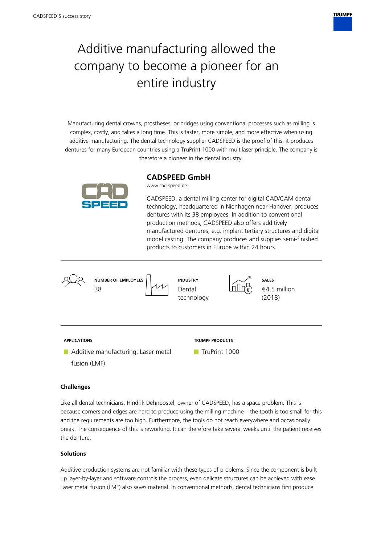

# Additive manufacturing allowed the company to become a pioneer for an entire industry

Manufacturing dental crowns, prostheses, or bridges using conventional processes such as milling is complex, costly, and takes a long time. This is faster, more simple, and more effective when using additive manufacturing. The dental technology supplier CADSPEED is the proof of this; it produces dentures for many European countries using a TruPrint 1000 with multilaser principle. The company is therefore a pioneer in the dental industry.



### **CADSPEED GmbH**

www.cad-speed.de

CADSPEED, a dental milling center for digital CAD/CAM dental technology, headquartered in Nienhagen near Hanover, produces dentures with its 38 employees. In addition to conventional production methods, CADSPEED also offers additively manufactured dentures, e.g. implant tertiary structures and digital model casting. The company produces and supplies semi-finished products to customers in Europe within 24 hours.



Dental technology



**SALES** €4.5 million (2018)

**APPLICATIONS**

**TRUMPF PRODUCTS**

TruPrint 1000

**Additive manufacturing: Laser metal** fusion (LMF)

## **Challenges**

Like all dental technicians, Hindrik Dehnbostel, owner of CADSPEED, has a space problem. This is because corners and edges are hard to produce using the milling machine – the tooth is too small for this and the requirements are too high. Furthermore, the tools do not reach everywhere and occasionally break. The consequence of this is reworking. It can therefore take several weeks until the patient receives the denture.

#### **Solutions**

Additive production systems are not familiar with these types of problems. Since the component is built up layer-by-layer and software controls the process, even delicate structures can be achieved with ease. Laser metal fusion (LMF) also saves material. In conventional methods, dental technicians first produce